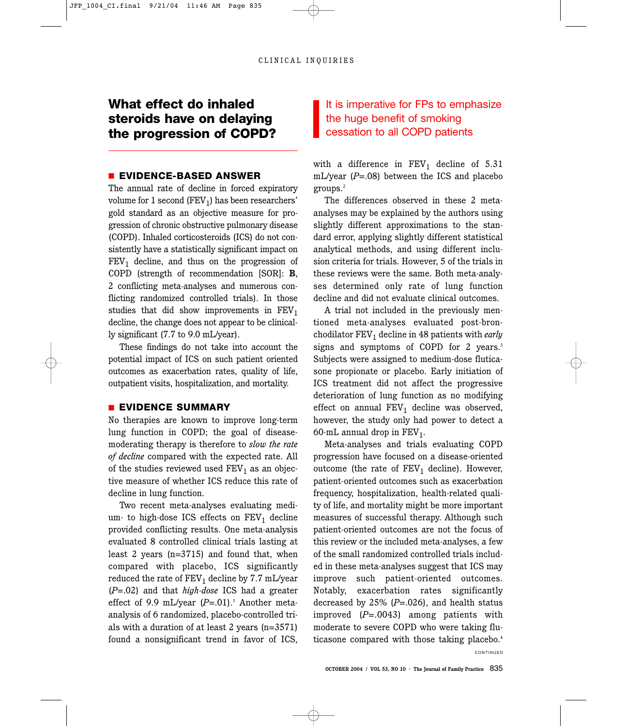# **What effect do inhaled steroids have on delaying the progression of COPD?**

## ■ **EVIDENCE-BASED ANSWER**

The annual rate of decline in forced expiratory volume for 1 second  $(FEV<sub>1</sub>)$  has been researchers' gold standard as an objective measure for progression of chronic obstructive pulmonary disease (COPD). Inhaled corticosteroids (ICS) do not consistently have a statistically significant impact on  $FEV<sub>1</sub>$  decline, and thus on the progression of COPD (strength of recommendation [SOR]: **B**, 2 conflicting meta-analyses and numerous conflicting randomized controlled trials). In those studies that did show improvements in  $FEV<sub>1</sub>$ decline, the change does not appear to be clinically significant (7.7 to 9.0 mL/year).

These findings do not take into account the potential impact of ICS on such patient oriented outcomes as exacerbation rates, quality of life, outpatient visits, hospitalization, and mortality.

### ■ **EVIDENCE SUMMARY**

No therapies are known to improve long-term lung function in COPD; the goal of diseasemoderating therapy is therefore to *slow the rate of decline* compared with the expected rate. All of the studies reviewed used  $FEV<sub>1</sub>$  as an objective measure of whether ICS reduce this rate of decline in lung function.

Two recent meta-analyses evaluating medium- to high-dose ICS effects on  $FEV<sub>1</sub>$  decline provided conflicting results. One meta-analysis evaluated 8 controlled clinical trials lasting at least 2 years (n=3715) and found that, when compared with placebo, ICS significantly reduced the rate of  $FEV<sub>1</sub>$  decline by 7.7 mL/year (*P*=.02) and that *high-dose* ICS had a greater effect of 9.9 mL/year  $(P=.01)$ .<sup>1</sup> Another metaanalysis of 6 randomized, placebo-controlled trials with a duration of at least 2 years (n=3571) found a nonsignificant trend in favor of ICS,

## It is imperative for FPs to emphasize the huge benefit of smoking cessation to all COPD patients

with a difference in  $FEV_1$  decline of 5.31 mL/year (*P*=.08) between the ICS and placebo groups.2

The differences observed in these 2 metaanalyses may be explained by the authors using slightly different approximations to the standard error, applying slightly different statistical analytical methods, and using different inclusion criteria for trials. However, 5 of the trials in these reviews were the same. Both meta-analyses determined only rate of lung function decline and did not evaluate clinical outcomes.

A trial not included in the previously mentioned meta-analyses evaluated post-bronchodilator FEV1 decline in 48 patients with *early* signs and symptoms of COPD for 2 years.<sup>3</sup> Subjects were assigned to medium-dose fluticasone propionate or placebo. Early initiation of ICS treatment did not affect the progressive deterioration of lung function as no modifying effect on annual  $FEV<sub>1</sub>$  decline was observed, however, the study only had power to detect a 60-mL annual drop in  $FEV<sub>1</sub>$ .

Meta-analyses and trials evaluating COPD progression have focused on a disease-oriented outcome (the rate of  $FEV_1$  decline). However, patient-oriented outcomes such as exacerbation frequency, hospitalization, health-related quality of life, and mortality might be more important measures of successful therapy. Although such patient-oriented outcomes are not the focus of this review or the included meta-analyses, a few of the small randomized controlled trials included in these meta-analyses suggest that ICS may improve such patient-oriented outcomes. Notably, exacerbation rates significantly decreased by 25% (*P*=.026), and health status improved (*P*=.0043) among patients with moderate to severe COPD who were taking fluticasone compared with those taking placebo.<sup>4</sup>